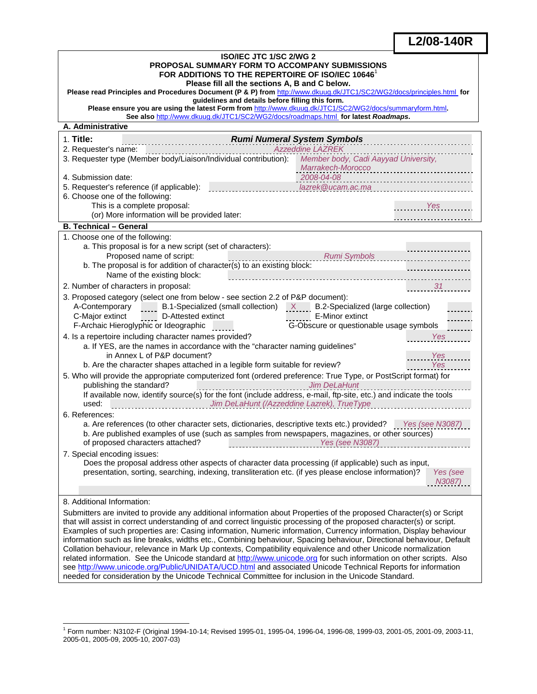# **L2/08-140R**

L

| PROPOSAL SUMMARY FORM TO ACCOMPANY SUBMISSIONS<br>FOR ADDITIONS TO THE REPERTOIRE OF ISO/IEC 10646 <sup>1</sup><br>Please fill all the sections A, B and C below.<br>Please read Principles and Procedures Document (P & P) from http://www.dkuug.dk/JTC1/SC2/WG2/docs/principles.html for<br>guidelines and details before filling this form.<br>Please ensure you are using the latest Form from http://www.dkuug.dk/JTC1/SC2/WG2/docs/summaryform.html.<br>See also http://www.dkuug.dk/JTC1/SC2/WG2/docs/roadmaps.html for latest Roadmaps.<br>A. Administrative<br>1. Title:<br>Rumi Numeral System Symbols<br><b>Azzeddine LAZREK</b><br>2. Requester's name:<br>3. Requester type (Member body/Liaison/Individual contribution): Member body, Cadi Aayyad University,<br>Marrakech-Morocco<br>2008-04-08<br>4. Submission date:<br>lazrek@ucam.ac.ma<br>5. Requester's reference (if applicable):<br>6. Choose one of the following:<br>This is a complete proposal:<br>Yes<br>(or) More information will be provided later:<br><b>B. Technical - General</b><br>1. Choose one of the following:<br>a. This proposal is for a new script (set of characters):<br>Proposed name of script:<br>Rumi Symbols<br>.<br>b. The proposal is for addition of character(s) to an existing block:<br>Name of the existing block:<br>2. Number of characters in proposal:<br>3. Proposed category (select one from below - see section 2.2 of P&P document):<br>A-Contemporary $\frac{1}{2}$ B.1-Specialized (small collection) $\frac{X}{2}$ B.2-Specialized (large collection)<br>E-Minor extinct<br>C-Major extinct<br>D-Attested extinct<br>G-Obscure or questionable usage symbols<br>F-Archaic Hieroglyphic or Ideographic<br>4. Is a repertoire including character names provided?<br><b>Yes</b><br>a. If YES, are the names in accordance with the "character naming guidelines"<br>in Annex L of P&P document?<br>Yes<br>b. Are the character shapes attached in a legible form suitable for review?<br>Yes<br>5. Who will provide the appropriate computerized font (ordered preference: True Type, or PostScript format) for<br>publishing the standard?<br><b>Jim DeLaHunt</b><br>If available now, identify source(s) for the font (include address, e-mail, ftp-site, etc.) and indicate the tools<br>exercise contains the U.S. of the U.S. of the U.S. of the U.S. of the U.S. of the U.S. of the U.S. of the U.S.<br>used:<br>6. References:<br>a. Are references (to other character sets, dictionaries, descriptive texts etc.) provided? Yes (see N3087)<br>b. Are published examples of use (such as samples from newspapers, magazines, or other sources)<br>7. Special encoding issues:<br>Does the proposal address other aspects of character data processing (if applicable) such as input,<br>presentation, sorting, searching, indexing, transliteration etc. (if yes please enclose information)?<br>Yes (see<br>N3087)<br>8. Additional Information:<br>Submitters are invited to provide any additional information about Properties of the proposed Character(s) or Script<br>that will assist in correct understanding of and correct linguistic processing of the proposed character(s) or script.<br>Examples of such properties are: Casing information, Numeric information, Currency information, Display behaviour<br>information such as line breaks, widths etc., Combining behaviour, Spacing behaviour, Directional behaviour, Default<br>Collation behaviour, relevance in Mark Up contexts, Compatibility equivalence and other Unicode normalization<br>related information. See the Unicode standard at http://www.unicode.org for such information on other scripts. Also<br>see http://www.unicode.org/Public/UNIDATA/UCD.html and associated Unicode Technical Reports for information<br>needed for consideration by the Unicode Technical Committee for inclusion in the Unicode Standard. | <b>ISO/IEC JTC 1/SC 2/WG 2</b> |  |  |
|---------------------------------------------------------------------------------------------------------------------------------------------------------------------------------------------------------------------------------------------------------------------------------------------------------------------------------------------------------------------------------------------------------------------------------------------------------------------------------------------------------------------------------------------------------------------------------------------------------------------------------------------------------------------------------------------------------------------------------------------------------------------------------------------------------------------------------------------------------------------------------------------------------------------------------------------------------------------------------------------------------------------------------------------------------------------------------------------------------------------------------------------------------------------------------------------------------------------------------------------------------------------------------------------------------------------------------------------------------------------------------------------------------------------------------------------------------------------------------------------------------------------------------------------------------------------------------------------------------------------------------------------------------------------------------------------------------------------------------------------------------------------------------------------------------------------------------------------------------------------------------------------------------------------------------------------------------------------------------------------------------------------------------------------------------------------------------------------------------------------------------------------------------------------------------------------------------------------------------------------------------------------------------------------------------------------------------------------------------------------------------------------------------------------------------------------------------------------------------------------------------------------------------------------------------------------------------------------------------------------------------------------------------------------------------------------------------------------------------------------------------------------------------------------------------------------------------------------------------------------------------------------------------------------------------------------------------------------------------------------------------------------------------------------------------------------------------------------------------------------------------------------------------------------------------------------------------------------------------------------------------------------------------------------------------------------------------------------------------------------------------------------------------------------------------------------------------------------------------------------------------------------------------------------------------------------------------------------------------------------------------------------------------------------------------------------------------------------------------------------------------------------------------------------------------------------------------------------------------------------------------------------------------------------------------------------|--------------------------------|--|--|
|                                                                                                                                                                                                                                                                                                                                                                                                                                                                                                                                                                                                                                                                                                                                                                                                                                                                                                                                                                                                                                                                                                                                                                                                                                                                                                                                                                                                                                                                                                                                                                                                                                                                                                                                                                                                                                                                                                                                                                                                                                                                                                                                                                                                                                                                                                                                                                                                                                                                                                                                                                                                                                                                                                                                                                                                                                                                                                                                                                                                                                                                                                                                                                                                                                                                                                                                                                                                                                                                                                                                                                                                                                                                                                                                                                                                                                                                                                                                             |                                |  |  |
|                                                                                                                                                                                                                                                                                                                                                                                                                                                                                                                                                                                                                                                                                                                                                                                                                                                                                                                                                                                                                                                                                                                                                                                                                                                                                                                                                                                                                                                                                                                                                                                                                                                                                                                                                                                                                                                                                                                                                                                                                                                                                                                                                                                                                                                                                                                                                                                                                                                                                                                                                                                                                                                                                                                                                                                                                                                                                                                                                                                                                                                                                                                                                                                                                                                                                                                                                                                                                                                                                                                                                                                                                                                                                                                                                                                                                                                                                                                                             |                                |  |  |
|                                                                                                                                                                                                                                                                                                                                                                                                                                                                                                                                                                                                                                                                                                                                                                                                                                                                                                                                                                                                                                                                                                                                                                                                                                                                                                                                                                                                                                                                                                                                                                                                                                                                                                                                                                                                                                                                                                                                                                                                                                                                                                                                                                                                                                                                                                                                                                                                                                                                                                                                                                                                                                                                                                                                                                                                                                                                                                                                                                                                                                                                                                                                                                                                                                                                                                                                                                                                                                                                                                                                                                                                                                                                                                                                                                                                                                                                                                                                             |                                |  |  |
|                                                                                                                                                                                                                                                                                                                                                                                                                                                                                                                                                                                                                                                                                                                                                                                                                                                                                                                                                                                                                                                                                                                                                                                                                                                                                                                                                                                                                                                                                                                                                                                                                                                                                                                                                                                                                                                                                                                                                                                                                                                                                                                                                                                                                                                                                                                                                                                                                                                                                                                                                                                                                                                                                                                                                                                                                                                                                                                                                                                                                                                                                                                                                                                                                                                                                                                                                                                                                                                                                                                                                                                                                                                                                                                                                                                                                                                                                                                                             |                                |  |  |
|                                                                                                                                                                                                                                                                                                                                                                                                                                                                                                                                                                                                                                                                                                                                                                                                                                                                                                                                                                                                                                                                                                                                                                                                                                                                                                                                                                                                                                                                                                                                                                                                                                                                                                                                                                                                                                                                                                                                                                                                                                                                                                                                                                                                                                                                                                                                                                                                                                                                                                                                                                                                                                                                                                                                                                                                                                                                                                                                                                                                                                                                                                                                                                                                                                                                                                                                                                                                                                                                                                                                                                                                                                                                                                                                                                                                                                                                                                                                             |                                |  |  |
|                                                                                                                                                                                                                                                                                                                                                                                                                                                                                                                                                                                                                                                                                                                                                                                                                                                                                                                                                                                                                                                                                                                                                                                                                                                                                                                                                                                                                                                                                                                                                                                                                                                                                                                                                                                                                                                                                                                                                                                                                                                                                                                                                                                                                                                                                                                                                                                                                                                                                                                                                                                                                                                                                                                                                                                                                                                                                                                                                                                                                                                                                                                                                                                                                                                                                                                                                                                                                                                                                                                                                                                                                                                                                                                                                                                                                                                                                                                                             |                                |  |  |
|                                                                                                                                                                                                                                                                                                                                                                                                                                                                                                                                                                                                                                                                                                                                                                                                                                                                                                                                                                                                                                                                                                                                                                                                                                                                                                                                                                                                                                                                                                                                                                                                                                                                                                                                                                                                                                                                                                                                                                                                                                                                                                                                                                                                                                                                                                                                                                                                                                                                                                                                                                                                                                                                                                                                                                                                                                                                                                                                                                                                                                                                                                                                                                                                                                                                                                                                                                                                                                                                                                                                                                                                                                                                                                                                                                                                                                                                                                                                             |                                |  |  |
|                                                                                                                                                                                                                                                                                                                                                                                                                                                                                                                                                                                                                                                                                                                                                                                                                                                                                                                                                                                                                                                                                                                                                                                                                                                                                                                                                                                                                                                                                                                                                                                                                                                                                                                                                                                                                                                                                                                                                                                                                                                                                                                                                                                                                                                                                                                                                                                                                                                                                                                                                                                                                                                                                                                                                                                                                                                                                                                                                                                                                                                                                                                                                                                                                                                                                                                                                                                                                                                                                                                                                                                                                                                                                                                                                                                                                                                                                                                                             |                                |  |  |
|                                                                                                                                                                                                                                                                                                                                                                                                                                                                                                                                                                                                                                                                                                                                                                                                                                                                                                                                                                                                                                                                                                                                                                                                                                                                                                                                                                                                                                                                                                                                                                                                                                                                                                                                                                                                                                                                                                                                                                                                                                                                                                                                                                                                                                                                                                                                                                                                                                                                                                                                                                                                                                                                                                                                                                                                                                                                                                                                                                                                                                                                                                                                                                                                                                                                                                                                                                                                                                                                                                                                                                                                                                                                                                                                                                                                                                                                                                                                             |                                |  |  |
|                                                                                                                                                                                                                                                                                                                                                                                                                                                                                                                                                                                                                                                                                                                                                                                                                                                                                                                                                                                                                                                                                                                                                                                                                                                                                                                                                                                                                                                                                                                                                                                                                                                                                                                                                                                                                                                                                                                                                                                                                                                                                                                                                                                                                                                                                                                                                                                                                                                                                                                                                                                                                                                                                                                                                                                                                                                                                                                                                                                                                                                                                                                                                                                                                                                                                                                                                                                                                                                                                                                                                                                                                                                                                                                                                                                                                                                                                                                                             |                                |  |  |
|                                                                                                                                                                                                                                                                                                                                                                                                                                                                                                                                                                                                                                                                                                                                                                                                                                                                                                                                                                                                                                                                                                                                                                                                                                                                                                                                                                                                                                                                                                                                                                                                                                                                                                                                                                                                                                                                                                                                                                                                                                                                                                                                                                                                                                                                                                                                                                                                                                                                                                                                                                                                                                                                                                                                                                                                                                                                                                                                                                                                                                                                                                                                                                                                                                                                                                                                                                                                                                                                                                                                                                                                                                                                                                                                                                                                                                                                                                                                             |                                |  |  |
|                                                                                                                                                                                                                                                                                                                                                                                                                                                                                                                                                                                                                                                                                                                                                                                                                                                                                                                                                                                                                                                                                                                                                                                                                                                                                                                                                                                                                                                                                                                                                                                                                                                                                                                                                                                                                                                                                                                                                                                                                                                                                                                                                                                                                                                                                                                                                                                                                                                                                                                                                                                                                                                                                                                                                                                                                                                                                                                                                                                                                                                                                                                                                                                                                                                                                                                                                                                                                                                                                                                                                                                                                                                                                                                                                                                                                                                                                                                                             |                                |  |  |
|                                                                                                                                                                                                                                                                                                                                                                                                                                                                                                                                                                                                                                                                                                                                                                                                                                                                                                                                                                                                                                                                                                                                                                                                                                                                                                                                                                                                                                                                                                                                                                                                                                                                                                                                                                                                                                                                                                                                                                                                                                                                                                                                                                                                                                                                                                                                                                                                                                                                                                                                                                                                                                                                                                                                                                                                                                                                                                                                                                                                                                                                                                                                                                                                                                                                                                                                                                                                                                                                                                                                                                                                                                                                                                                                                                                                                                                                                                                                             |                                |  |  |
|                                                                                                                                                                                                                                                                                                                                                                                                                                                                                                                                                                                                                                                                                                                                                                                                                                                                                                                                                                                                                                                                                                                                                                                                                                                                                                                                                                                                                                                                                                                                                                                                                                                                                                                                                                                                                                                                                                                                                                                                                                                                                                                                                                                                                                                                                                                                                                                                                                                                                                                                                                                                                                                                                                                                                                                                                                                                                                                                                                                                                                                                                                                                                                                                                                                                                                                                                                                                                                                                                                                                                                                                                                                                                                                                                                                                                                                                                                                                             |                                |  |  |
|                                                                                                                                                                                                                                                                                                                                                                                                                                                                                                                                                                                                                                                                                                                                                                                                                                                                                                                                                                                                                                                                                                                                                                                                                                                                                                                                                                                                                                                                                                                                                                                                                                                                                                                                                                                                                                                                                                                                                                                                                                                                                                                                                                                                                                                                                                                                                                                                                                                                                                                                                                                                                                                                                                                                                                                                                                                                                                                                                                                                                                                                                                                                                                                                                                                                                                                                                                                                                                                                                                                                                                                                                                                                                                                                                                                                                                                                                                                                             |                                |  |  |
|                                                                                                                                                                                                                                                                                                                                                                                                                                                                                                                                                                                                                                                                                                                                                                                                                                                                                                                                                                                                                                                                                                                                                                                                                                                                                                                                                                                                                                                                                                                                                                                                                                                                                                                                                                                                                                                                                                                                                                                                                                                                                                                                                                                                                                                                                                                                                                                                                                                                                                                                                                                                                                                                                                                                                                                                                                                                                                                                                                                                                                                                                                                                                                                                                                                                                                                                                                                                                                                                                                                                                                                                                                                                                                                                                                                                                                                                                                                                             |                                |  |  |
|                                                                                                                                                                                                                                                                                                                                                                                                                                                                                                                                                                                                                                                                                                                                                                                                                                                                                                                                                                                                                                                                                                                                                                                                                                                                                                                                                                                                                                                                                                                                                                                                                                                                                                                                                                                                                                                                                                                                                                                                                                                                                                                                                                                                                                                                                                                                                                                                                                                                                                                                                                                                                                                                                                                                                                                                                                                                                                                                                                                                                                                                                                                                                                                                                                                                                                                                                                                                                                                                                                                                                                                                                                                                                                                                                                                                                                                                                                                                             |                                |  |  |
|                                                                                                                                                                                                                                                                                                                                                                                                                                                                                                                                                                                                                                                                                                                                                                                                                                                                                                                                                                                                                                                                                                                                                                                                                                                                                                                                                                                                                                                                                                                                                                                                                                                                                                                                                                                                                                                                                                                                                                                                                                                                                                                                                                                                                                                                                                                                                                                                                                                                                                                                                                                                                                                                                                                                                                                                                                                                                                                                                                                                                                                                                                                                                                                                                                                                                                                                                                                                                                                                                                                                                                                                                                                                                                                                                                                                                                                                                                                                             |                                |  |  |
|                                                                                                                                                                                                                                                                                                                                                                                                                                                                                                                                                                                                                                                                                                                                                                                                                                                                                                                                                                                                                                                                                                                                                                                                                                                                                                                                                                                                                                                                                                                                                                                                                                                                                                                                                                                                                                                                                                                                                                                                                                                                                                                                                                                                                                                                                                                                                                                                                                                                                                                                                                                                                                                                                                                                                                                                                                                                                                                                                                                                                                                                                                                                                                                                                                                                                                                                                                                                                                                                                                                                                                                                                                                                                                                                                                                                                                                                                                                                             |                                |  |  |
|                                                                                                                                                                                                                                                                                                                                                                                                                                                                                                                                                                                                                                                                                                                                                                                                                                                                                                                                                                                                                                                                                                                                                                                                                                                                                                                                                                                                                                                                                                                                                                                                                                                                                                                                                                                                                                                                                                                                                                                                                                                                                                                                                                                                                                                                                                                                                                                                                                                                                                                                                                                                                                                                                                                                                                                                                                                                                                                                                                                                                                                                                                                                                                                                                                                                                                                                                                                                                                                                                                                                                                                                                                                                                                                                                                                                                                                                                                                                             |                                |  |  |
|                                                                                                                                                                                                                                                                                                                                                                                                                                                                                                                                                                                                                                                                                                                                                                                                                                                                                                                                                                                                                                                                                                                                                                                                                                                                                                                                                                                                                                                                                                                                                                                                                                                                                                                                                                                                                                                                                                                                                                                                                                                                                                                                                                                                                                                                                                                                                                                                                                                                                                                                                                                                                                                                                                                                                                                                                                                                                                                                                                                                                                                                                                                                                                                                                                                                                                                                                                                                                                                                                                                                                                                                                                                                                                                                                                                                                                                                                                                                             |                                |  |  |
|                                                                                                                                                                                                                                                                                                                                                                                                                                                                                                                                                                                                                                                                                                                                                                                                                                                                                                                                                                                                                                                                                                                                                                                                                                                                                                                                                                                                                                                                                                                                                                                                                                                                                                                                                                                                                                                                                                                                                                                                                                                                                                                                                                                                                                                                                                                                                                                                                                                                                                                                                                                                                                                                                                                                                                                                                                                                                                                                                                                                                                                                                                                                                                                                                                                                                                                                                                                                                                                                                                                                                                                                                                                                                                                                                                                                                                                                                                                                             |                                |  |  |
|                                                                                                                                                                                                                                                                                                                                                                                                                                                                                                                                                                                                                                                                                                                                                                                                                                                                                                                                                                                                                                                                                                                                                                                                                                                                                                                                                                                                                                                                                                                                                                                                                                                                                                                                                                                                                                                                                                                                                                                                                                                                                                                                                                                                                                                                                                                                                                                                                                                                                                                                                                                                                                                                                                                                                                                                                                                                                                                                                                                                                                                                                                                                                                                                                                                                                                                                                                                                                                                                                                                                                                                                                                                                                                                                                                                                                                                                                                                                             |                                |  |  |
|                                                                                                                                                                                                                                                                                                                                                                                                                                                                                                                                                                                                                                                                                                                                                                                                                                                                                                                                                                                                                                                                                                                                                                                                                                                                                                                                                                                                                                                                                                                                                                                                                                                                                                                                                                                                                                                                                                                                                                                                                                                                                                                                                                                                                                                                                                                                                                                                                                                                                                                                                                                                                                                                                                                                                                                                                                                                                                                                                                                                                                                                                                                                                                                                                                                                                                                                                                                                                                                                                                                                                                                                                                                                                                                                                                                                                                                                                                                                             |                                |  |  |
|                                                                                                                                                                                                                                                                                                                                                                                                                                                                                                                                                                                                                                                                                                                                                                                                                                                                                                                                                                                                                                                                                                                                                                                                                                                                                                                                                                                                                                                                                                                                                                                                                                                                                                                                                                                                                                                                                                                                                                                                                                                                                                                                                                                                                                                                                                                                                                                                                                                                                                                                                                                                                                                                                                                                                                                                                                                                                                                                                                                                                                                                                                                                                                                                                                                                                                                                                                                                                                                                                                                                                                                                                                                                                                                                                                                                                                                                                                                                             |                                |  |  |
|                                                                                                                                                                                                                                                                                                                                                                                                                                                                                                                                                                                                                                                                                                                                                                                                                                                                                                                                                                                                                                                                                                                                                                                                                                                                                                                                                                                                                                                                                                                                                                                                                                                                                                                                                                                                                                                                                                                                                                                                                                                                                                                                                                                                                                                                                                                                                                                                                                                                                                                                                                                                                                                                                                                                                                                                                                                                                                                                                                                                                                                                                                                                                                                                                                                                                                                                                                                                                                                                                                                                                                                                                                                                                                                                                                                                                                                                                                                                             |                                |  |  |
|                                                                                                                                                                                                                                                                                                                                                                                                                                                                                                                                                                                                                                                                                                                                                                                                                                                                                                                                                                                                                                                                                                                                                                                                                                                                                                                                                                                                                                                                                                                                                                                                                                                                                                                                                                                                                                                                                                                                                                                                                                                                                                                                                                                                                                                                                                                                                                                                                                                                                                                                                                                                                                                                                                                                                                                                                                                                                                                                                                                                                                                                                                                                                                                                                                                                                                                                                                                                                                                                                                                                                                                                                                                                                                                                                                                                                                                                                                                                             |                                |  |  |
|                                                                                                                                                                                                                                                                                                                                                                                                                                                                                                                                                                                                                                                                                                                                                                                                                                                                                                                                                                                                                                                                                                                                                                                                                                                                                                                                                                                                                                                                                                                                                                                                                                                                                                                                                                                                                                                                                                                                                                                                                                                                                                                                                                                                                                                                                                                                                                                                                                                                                                                                                                                                                                                                                                                                                                                                                                                                                                                                                                                                                                                                                                                                                                                                                                                                                                                                                                                                                                                                                                                                                                                                                                                                                                                                                                                                                                                                                                                                             |                                |  |  |
|                                                                                                                                                                                                                                                                                                                                                                                                                                                                                                                                                                                                                                                                                                                                                                                                                                                                                                                                                                                                                                                                                                                                                                                                                                                                                                                                                                                                                                                                                                                                                                                                                                                                                                                                                                                                                                                                                                                                                                                                                                                                                                                                                                                                                                                                                                                                                                                                                                                                                                                                                                                                                                                                                                                                                                                                                                                                                                                                                                                                                                                                                                                                                                                                                                                                                                                                                                                                                                                                                                                                                                                                                                                                                                                                                                                                                                                                                                                                             |                                |  |  |
|                                                                                                                                                                                                                                                                                                                                                                                                                                                                                                                                                                                                                                                                                                                                                                                                                                                                                                                                                                                                                                                                                                                                                                                                                                                                                                                                                                                                                                                                                                                                                                                                                                                                                                                                                                                                                                                                                                                                                                                                                                                                                                                                                                                                                                                                                                                                                                                                                                                                                                                                                                                                                                                                                                                                                                                                                                                                                                                                                                                                                                                                                                                                                                                                                                                                                                                                                                                                                                                                                                                                                                                                                                                                                                                                                                                                                                                                                                                                             |                                |  |  |
|                                                                                                                                                                                                                                                                                                                                                                                                                                                                                                                                                                                                                                                                                                                                                                                                                                                                                                                                                                                                                                                                                                                                                                                                                                                                                                                                                                                                                                                                                                                                                                                                                                                                                                                                                                                                                                                                                                                                                                                                                                                                                                                                                                                                                                                                                                                                                                                                                                                                                                                                                                                                                                                                                                                                                                                                                                                                                                                                                                                                                                                                                                                                                                                                                                                                                                                                                                                                                                                                                                                                                                                                                                                                                                                                                                                                                                                                                                                                             |                                |  |  |
|                                                                                                                                                                                                                                                                                                                                                                                                                                                                                                                                                                                                                                                                                                                                                                                                                                                                                                                                                                                                                                                                                                                                                                                                                                                                                                                                                                                                                                                                                                                                                                                                                                                                                                                                                                                                                                                                                                                                                                                                                                                                                                                                                                                                                                                                                                                                                                                                                                                                                                                                                                                                                                                                                                                                                                                                                                                                                                                                                                                                                                                                                                                                                                                                                                                                                                                                                                                                                                                                                                                                                                                                                                                                                                                                                                                                                                                                                                                                             |                                |  |  |
|                                                                                                                                                                                                                                                                                                                                                                                                                                                                                                                                                                                                                                                                                                                                                                                                                                                                                                                                                                                                                                                                                                                                                                                                                                                                                                                                                                                                                                                                                                                                                                                                                                                                                                                                                                                                                                                                                                                                                                                                                                                                                                                                                                                                                                                                                                                                                                                                                                                                                                                                                                                                                                                                                                                                                                                                                                                                                                                                                                                                                                                                                                                                                                                                                                                                                                                                                                                                                                                                                                                                                                                                                                                                                                                                                                                                                                                                                                                                             |                                |  |  |
|                                                                                                                                                                                                                                                                                                                                                                                                                                                                                                                                                                                                                                                                                                                                                                                                                                                                                                                                                                                                                                                                                                                                                                                                                                                                                                                                                                                                                                                                                                                                                                                                                                                                                                                                                                                                                                                                                                                                                                                                                                                                                                                                                                                                                                                                                                                                                                                                                                                                                                                                                                                                                                                                                                                                                                                                                                                                                                                                                                                                                                                                                                                                                                                                                                                                                                                                                                                                                                                                                                                                                                                                                                                                                                                                                                                                                                                                                                                                             |                                |  |  |
|                                                                                                                                                                                                                                                                                                                                                                                                                                                                                                                                                                                                                                                                                                                                                                                                                                                                                                                                                                                                                                                                                                                                                                                                                                                                                                                                                                                                                                                                                                                                                                                                                                                                                                                                                                                                                                                                                                                                                                                                                                                                                                                                                                                                                                                                                                                                                                                                                                                                                                                                                                                                                                                                                                                                                                                                                                                                                                                                                                                                                                                                                                                                                                                                                                                                                                                                                                                                                                                                                                                                                                                                                                                                                                                                                                                                                                                                                                                                             |                                |  |  |
|                                                                                                                                                                                                                                                                                                                                                                                                                                                                                                                                                                                                                                                                                                                                                                                                                                                                                                                                                                                                                                                                                                                                                                                                                                                                                                                                                                                                                                                                                                                                                                                                                                                                                                                                                                                                                                                                                                                                                                                                                                                                                                                                                                                                                                                                                                                                                                                                                                                                                                                                                                                                                                                                                                                                                                                                                                                                                                                                                                                                                                                                                                                                                                                                                                                                                                                                                                                                                                                                                                                                                                                                                                                                                                                                                                                                                                                                                                                                             |                                |  |  |
|                                                                                                                                                                                                                                                                                                                                                                                                                                                                                                                                                                                                                                                                                                                                                                                                                                                                                                                                                                                                                                                                                                                                                                                                                                                                                                                                                                                                                                                                                                                                                                                                                                                                                                                                                                                                                                                                                                                                                                                                                                                                                                                                                                                                                                                                                                                                                                                                                                                                                                                                                                                                                                                                                                                                                                                                                                                                                                                                                                                                                                                                                                                                                                                                                                                                                                                                                                                                                                                                                                                                                                                                                                                                                                                                                                                                                                                                                                                                             |                                |  |  |
|                                                                                                                                                                                                                                                                                                                                                                                                                                                                                                                                                                                                                                                                                                                                                                                                                                                                                                                                                                                                                                                                                                                                                                                                                                                                                                                                                                                                                                                                                                                                                                                                                                                                                                                                                                                                                                                                                                                                                                                                                                                                                                                                                                                                                                                                                                                                                                                                                                                                                                                                                                                                                                                                                                                                                                                                                                                                                                                                                                                                                                                                                                                                                                                                                                                                                                                                                                                                                                                                                                                                                                                                                                                                                                                                                                                                                                                                                                                                             |                                |  |  |
|                                                                                                                                                                                                                                                                                                                                                                                                                                                                                                                                                                                                                                                                                                                                                                                                                                                                                                                                                                                                                                                                                                                                                                                                                                                                                                                                                                                                                                                                                                                                                                                                                                                                                                                                                                                                                                                                                                                                                                                                                                                                                                                                                                                                                                                                                                                                                                                                                                                                                                                                                                                                                                                                                                                                                                                                                                                                                                                                                                                                                                                                                                                                                                                                                                                                                                                                                                                                                                                                                                                                                                                                                                                                                                                                                                                                                                                                                                                                             |                                |  |  |
|                                                                                                                                                                                                                                                                                                                                                                                                                                                                                                                                                                                                                                                                                                                                                                                                                                                                                                                                                                                                                                                                                                                                                                                                                                                                                                                                                                                                                                                                                                                                                                                                                                                                                                                                                                                                                                                                                                                                                                                                                                                                                                                                                                                                                                                                                                                                                                                                                                                                                                                                                                                                                                                                                                                                                                                                                                                                                                                                                                                                                                                                                                                                                                                                                                                                                                                                                                                                                                                                                                                                                                                                                                                                                                                                                                                                                                                                                                                                             |                                |  |  |
|                                                                                                                                                                                                                                                                                                                                                                                                                                                                                                                                                                                                                                                                                                                                                                                                                                                                                                                                                                                                                                                                                                                                                                                                                                                                                                                                                                                                                                                                                                                                                                                                                                                                                                                                                                                                                                                                                                                                                                                                                                                                                                                                                                                                                                                                                                                                                                                                                                                                                                                                                                                                                                                                                                                                                                                                                                                                                                                                                                                                                                                                                                                                                                                                                                                                                                                                                                                                                                                                                                                                                                                                                                                                                                                                                                                                                                                                                                                                             |                                |  |  |
|                                                                                                                                                                                                                                                                                                                                                                                                                                                                                                                                                                                                                                                                                                                                                                                                                                                                                                                                                                                                                                                                                                                                                                                                                                                                                                                                                                                                                                                                                                                                                                                                                                                                                                                                                                                                                                                                                                                                                                                                                                                                                                                                                                                                                                                                                                                                                                                                                                                                                                                                                                                                                                                                                                                                                                                                                                                                                                                                                                                                                                                                                                                                                                                                                                                                                                                                                                                                                                                                                                                                                                                                                                                                                                                                                                                                                                                                                                                                             |                                |  |  |
|                                                                                                                                                                                                                                                                                                                                                                                                                                                                                                                                                                                                                                                                                                                                                                                                                                                                                                                                                                                                                                                                                                                                                                                                                                                                                                                                                                                                                                                                                                                                                                                                                                                                                                                                                                                                                                                                                                                                                                                                                                                                                                                                                                                                                                                                                                                                                                                                                                                                                                                                                                                                                                                                                                                                                                                                                                                                                                                                                                                                                                                                                                                                                                                                                                                                                                                                                                                                                                                                                                                                                                                                                                                                                                                                                                                                                                                                                                                                             |                                |  |  |
|                                                                                                                                                                                                                                                                                                                                                                                                                                                                                                                                                                                                                                                                                                                                                                                                                                                                                                                                                                                                                                                                                                                                                                                                                                                                                                                                                                                                                                                                                                                                                                                                                                                                                                                                                                                                                                                                                                                                                                                                                                                                                                                                                                                                                                                                                                                                                                                                                                                                                                                                                                                                                                                                                                                                                                                                                                                                                                                                                                                                                                                                                                                                                                                                                                                                                                                                                                                                                                                                                                                                                                                                                                                                                                                                                                                                                                                                                                                                             |                                |  |  |
|                                                                                                                                                                                                                                                                                                                                                                                                                                                                                                                                                                                                                                                                                                                                                                                                                                                                                                                                                                                                                                                                                                                                                                                                                                                                                                                                                                                                                                                                                                                                                                                                                                                                                                                                                                                                                                                                                                                                                                                                                                                                                                                                                                                                                                                                                                                                                                                                                                                                                                                                                                                                                                                                                                                                                                                                                                                                                                                                                                                                                                                                                                                                                                                                                                                                                                                                                                                                                                                                                                                                                                                                                                                                                                                                                                                                                                                                                                                                             |                                |  |  |
|                                                                                                                                                                                                                                                                                                                                                                                                                                                                                                                                                                                                                                                                                                                                                                                                                                                                                                                                                                                                                                                                                                                                                                                                                                                                                                                                                                                                                                                                                                                                                                                                                                                                                                                                                                                                                                                                                                                                                                                                                                                                                                                                                                                                                                                                                                                                                                                                                                                                                                                                                                                                                                                                                                                                                                                                                                                                                                                                                                                                                                                                                                                                                                                                                                                                                                                                                                                                                                                                                                                                                                                                                                                                                                                                                                                                                                                                                                                                             |                                |  |  |
|                                                                                                                                                                                                                                                                                                                                                                                                                                                                                                                                                                                                                                                                                                                                                                                                                                                                                                                                                                                                                                                                                                                                                                                                                                                                                                                                                                                                                                                                                                                                                                                                                                                                                                                                                                                                                                                                                                                                                                                                                                                                                                                                                                                                                                                                                                                                                                                                                                                                                                                                                                                                                                                                                                                                                                                                                                                                                                                                                                                                                                                                                                                                                                                                                                                                                                                                                                                                                                                                                                                                                                                                                                                                                                                                                                                                                                                                                                                                             |                                |  |  |
|                                                                                                                                                                                                                                                                                                                                                                                                                                                                                                                                                                                                                                                                                                                                                                                                                                                                                                                                                                                                                                                                                                                                                                                                                                                                                                                                                                                                                                                                                                                                                                                                                                                                                                                                                                                                                                                                                                                                                                                                                                                                                                                                                                                                                                                                                                                                                                                                                                                                                                                                                                                                                                                                                                                                                                                                                                                                                                                                                                                                                                                                                                                                                                                                                                                                                                                                                                                                                                                                                                                                                                                                                                                                                                                                                                                                                                                                                                                                             |                                |  |  |
|                                                                                                                                                                                                                                                                                                                                                                                                                                                                                                                                                                                                                                                                                                                                                                                                                                                                                                                                                                                                                                                                                                                                                                                                                                                                                                                                                                                                                                                                                                                                                                                                                                                                                                                                                                                                                                                                                                                                                                                                                                                                                                                                                                                                                                                                                                                                                                                                                                                                                                                                                                                                                                                                                                                                                                                                                                                                                                                                                                                                                                                                                                                                                                                                                                                                                                                                                                                                                                                                                                                                                                                                                                                                                                                                                                                                                                                                                                                                             |                                |  |  |
|                                                                                                                                                                                                                                                                                                                                                                                                                                                                                                                                                                                                                                                                                                                                                                                                                                                                                                                                                                                                                                                                                                                                                                                                                                                                                                                                                                                                                                                                                                                                                                                                                                                                                                                                                                                                                                                                                                                                                                                                                                                                                                                                                                                                                                                                                                                                                                                                                                                                                                                                                                                                                                                                                                                                                                                                                                                                                                                                                                                                                                                                                                                                                                                                                                                                                                                                                                                                                                                                                                                                                                                                                                                                                                                                                                                                                                                                                                                                             |                                |  |  |
|                                                                                                                                                                                                                                                                                                                                                                                                                                                                                                                                                                                                                                                                                                                                                                                                                                                                                                                                                                                                                                                                                                                                                                                                                                                                                                                                                                                                                                                                                                                                                                                                                                                                                                                                                                                                                                                                                                                                                                                                                                                                                                                                                                                                                                                                                                                                                                                                                                                                                                                                                                                                                                                                                                                                                                                                                                                                                                                                                                                                                                                                                                                                                                                                                                                                                                                                                                                                                                                                                                                                                                                                                                                                                                                                                                                                                                                                                                                                             |                                |  |  |
|                                                                                                                                                                                                                                                                                                                                                                                                                                                                                                                                                                                                                                                                                                                                                                                                                                                                                                                                                                                                                                                                                                                                                                                                                                                                                                                                                                                                                                                                                                                                                                                                                                                                                                                                                                                                                                                                                                                                                                                                                                                                                                                                                                                                                                                                                                                                                                                                                                                                                                                                                                                                                                                                                                                                                                                                                                                                                                                                                                                                                                                                                                                                                                                                                                                                                                                                                                                                                                                                                                                                                                                                                                                                                                                                                                                                                                                                                                                                             |                                |  |  |
|                                                                                                                                                                                                                                                                                                                                                                                                                                                                                                                                                                                                                                                                                                                                                                                                                                                                                                                                                                                                                                                                                                                                                                                                                                                                                                                                                                                                                                                                                                                                                                                                                                                                                                                                                                                                                                                                                                                                                                                                                                                                                                                                                                                                                                                                                                                                                                                                                                                                                                                                                                                                                                                                                                                                                                                                                                                                                                                                                                                                                                                                                                                                                                                                                                                                                                                                                                                                                                                                                                                                                                                                                                                                                                                                                                                                                                                                                                                                             |                                |  |  |
|                                                                                                                                                                                                                                                                                                                                                                                                                                                                                                                                                                                                                                                                                                                                                                                                                                                                                                                                                                                                                                                                                                                                                                                                                                                                                                                                                                                                                                                                                                                                                                                                                                                                                                                                                                                                                                                                                                                                                                                                                                                                                                                                                                                                                                                                                                                                                                                                                                                                                                                                                                                                                                                                                                                                                                                                                                                                                                                                                                                                                                                                                                                                                                                                                                                                                                                                                                                                                                                                                                                                                                                                                                                                                                                                                                                                                                                                                                                                             |                                |  |  |
|                                                                                                                                                                                                                                                                                                                                                                                                                                                                                                                                                                                                                                                                                                                                                                                                                                                                                                                                                                                                                                                                                                                                                                                                                                                                                                                                                                                                                                                                                                                                                                                                                                                                                                                                                                                                                                                                                                                                                                                                                                                                                                                                                                                                                                                                                                                                                                                                                                                                                                                                                                                                                                                                                                                                                                                                                                                                                                                                                                                                                                                                                                                                                                                                                                                                                                                                                                                                                                                                                                                                                                                                                                                                                                                                                                                                                                                                                                                                             |                                |  |  |
|                                                                                                                                                                                                                                                                                                                                                                                                                                                                                                                                                                                                                                                                                                                                                                                                                                                                                                                                                                                                                                                                                                                                                                                                                                                                                                                                                                                                                                                                                                                                                                                                                                                                                                                                                                                                                                                                                                                                                                                                                                                                                                                                                                                                                                                                                                                                                                                                                                                                                                                                                                                                                                                                                                                                                                                                                                                                                                                                                                                                                                                                                                                                                                                                                                                                                                                                                                                                                                                                                                                                                                                                                                                                                                                                                                                                                                                                                                                                             |                                |  |  |
|                                                                                                                                                                                                                                                                                                                                                                                                                                                                                                                                                                                                                                                                                                                                                                                                                                                                                                                                                                                                                                                                                                                                                                                                                                                                                                                                                                                                                                                                                                                                                                                                                                                                                                                                                                                                                                                                                                                                                                                                                                                                                                                                                                                                                                                                                                                                                                                                                                                                                                                                                                                                                                                                                                                                                                                                                                                                                                                                                                                                                                                                                                                                                                                                                                                                                                                                                                                                                                                                                                                                                                                                                                                                                                                                                                                                                                                                                                                                             |                                |  |  |
|                                                                                                                                                                                                                                                                                                                                                                                                                                                                                                                                                                                                                                                                                                                                                                                                                                                                                                                                                                                                                                                                                                                                                                                                                                                                                                                                                                                                                                                                                                                                                                                                                                                                                                                                                                                                                                                                                                                                                                                                                                                                                                                                                                                                                                                                                                                                                                                                                                                                                                                                                                                                                                                                                                                                                                                                                                                                                                                                                                                                                                                                                                                                                                                                                                                                                                                                                                                                                                                                                                                                                                                                                                                                                                                                                                                                                                                                                                                                             |                                |  |  |

 TP 1 PT Form number: N3102-F (Original 1994-10-14; Revised 1995-01, 1995-04, 1996-04, 1996-08, 1999-03, 2001-05, 2001-09, 2003-11, 2005-01, 2005-09, 2005-10, 2007-03)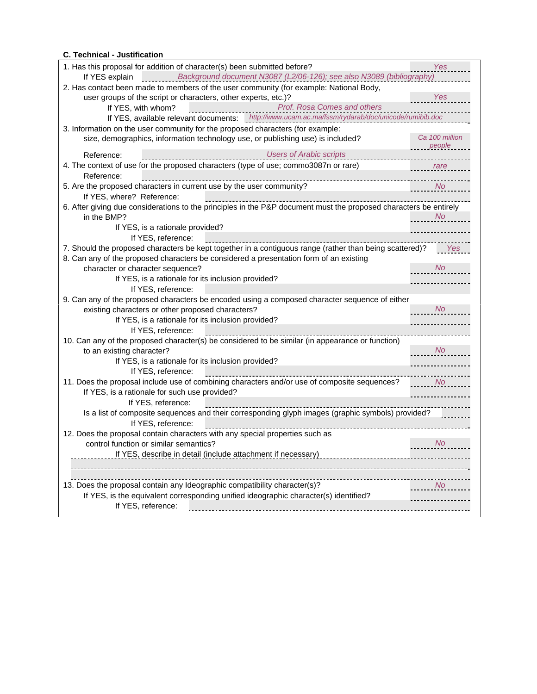## **C. Technical - Justification**

| 1. Has this proposal for addition of character(s) been submitted before?                                          | Yes                                                  |
|-------------------------------------------------------------------------------------------------------------------|------------------------------------------------------|
| If YES explain Background document N3087 (L2/06-126); see also N3089 (bibliography)                               |                                                      |
| 2. Has contact been made to members of the user community (for example: National Body,                            |                                                      |
| user groups of the script or characters, other experts, etc.)?                                                    | Yes                                                  |
| <b>Prof. Rosa Comes and others</b><br>If YES, with whom?                                                          |                                                      |
| If YES, available relevant documents: http://www.ucam.ac.ma/fssm/rydarab/doc/unicode/rumibib.doc                  |                                                      |
| 3. Information on the user community for the proposed characters (for example:                                    |                                                      |
| size, demographics, information technology use, or publishing use) is included?                                   | Ca 100 million                                       |
| <b>Users of Arabic scripts</b><br>Reference:                                                                      | <b>Example Depople</b>                               |
| 4. The context of use for the proposed characters (type of use; commo3087n or rare)                               | <u>rare</u>                                          |
| Reference:                                                                                                        |                                                      |
| 5. Are the proposed characters in current use by the user community?                                              | $\overline{\phantom{a}}$ No $\overline{\phantom{a}}$ |
| If YES, where? Reference:                                                                                         |                                                      |
| 6. After giving due considerations to the principles in the P&P document must the proposed characters be entirely |                                                      |
| in the BMP?                                                                                                       | N <sub>O</sub>                                       |
| If YES, is a rationale provided?                                                                                  |                                                      |
| If YES, reference:                                                                                                |                                                      |
| 7. Should the proposed characters be kept together in a contiguous range (rather than being scattered)?           | Yes                                                  |
| 8. Can any of the proposed characters be considered a presentation form of an existing                            | No                                                   |
| character or character sequence?                                                                                  |                                                      |
| If YES, is a rationale for its inclusion provided?                                                                |                                                      |
| If YES, reference:                                                                                                |                                                      |
| 9. Can any of the proposed characters be encoded using a composed character sequence of either                    |                                                      |
| existing characters or other proposed characters?<br>If YES, is a rationale for its inclusion provided?           | $\overline{\phantom{a}}$ No                          |
| If YES, reference:                                                                                                |                                                      |
| 10. Can any of the proposed character(s) be considered to be similar (in appearance or function)                  |                                                      |
| to an existing character?                                                                                         | No                                                   |
| If YES, is a rationale for its inclusion provided?                                                                |                                                      |
| If YES, reference:                                                                                                | -------------                                        |
| 11. Does the proposal include use of combining characters and/or use of composite sequences?                      | <b>Service Montage Montage Street</b>                |
| If YES, is a rationale for such use provided?                                                                     |                                                      |
| If YES, reference:                                                                                                |                                                      |
| Is a list of composite sequences and their corresponding glyph images (graphic symbols) provided?                 |                                                      |
| If YES, reference:                                                                                                |                                                      |
| 12. Does the proposal contain characters with any special properties such as                                      |                                                      |
| control function or similar semantics?                                                                            | $\overline{\phantom{a}}$ No                          |
| If YES, describe in detail (include attachment if necessary)                                                      |                                                      |
|                                                                                                                   |                                                      |
|                                                                                                                   |                                                      |
| 13. Does the proposal contain any Ideographic compatibility character(s)?                                         |                                                      |
| If YES, is the equivalent corresponding unified ideographic character(s) identified?                              |                                                      |
| If YES, reference:                                                                                                |                                                      |
|                                                                                                                   |                                                      |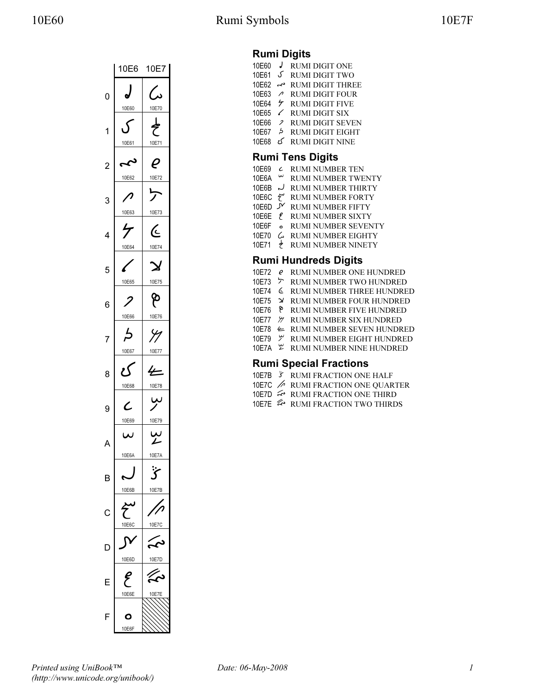

### Rumi Digits

| 10E60                   |    | <b>RUMI DIGIT ONE</b>   |  |
|-------------------------|----|-------------------------|--|
| 10E61                   | ک، | <b>RUMI DIGIT TWO</b>   |  |
| 10F62                   | ىم | <b>RUMI DIGIT THREE</b> |  |
| 10F63                   | ↗  | <b>RUMI DIGIT FOUR</b>  |  |
| 10F64                   | ヶ  | <b>RUMI DIGIT FIVE</b>  |  |
| 10 <sub>F65</sub>       | ╱  | <b>RUMI DIGIT SIX</b>   |  |
| 10E66                   | 2  | <b>RUMI DIGIT SEVEN</b> |  |
| 10F67                   | 5  | <b>RUMI DIGIT EIGHT</b> |  |
| 10F68                   | ۍ  | <b>RUMI DIGIT NINE</b>  |  |
| <b>Rumi Tens Digits</b> |    |                         |  |

| 10E69               | $\epsilon$ | <b>RUMI NUMBER TEN</b>               |
|---------------------|------------|--------------------------------------|
| 10E6A $\sim$        |            | RUMI NUMBER TWENTY                   |
| 10F6B $\sim$        |            | <b>RUMI NUMBER THIRTY</b>            |
|                     |            | 10E6C <sup>2</sup> RUMI NUMBER FORTY |
| 10F6D $\mathcal{N}$ |            | RUMI NUMBER FIFTY                    |
|                     |            | 10E6E <i>{</i> RUMI NUMBER SIXTY     |
|                     |            |                                      |

- 10E6F RUMI NUMBER SEVENTY
- 10E70  $6$  RUMI NUMBER EIGHTY
- 10E71 RUMI NUMBER NINETY

#### Rumi Hundreds Digits

- 10E72 *e* RUMI NUMBER ONE HUNDRED 10E73 **> RUMI NUMBER TWO HUNDRED** 10E74 RUMI NUMBER THREE HUNDRED 10E75 → RUMI NUMBER FOUR HUNDRED<br>10E76 P RUMI NUMBER FIVE HUNDRED RUMI NUMBER FIVE HUNDRED 10E77  $%$  RUMI NUMBER SIX HUNDRED 10E78 RUMI NUMBER SEVEN HUNDRED 10E79  $\%$  RUMI NUMBER EIGHT HUNDRED
- 10E7A  $\mathfrak{L}$  RUMI NUMBER NINE HUNDRED

#### Rumi Special Fractions

- 10E7B RUMI FRACTION ONE HALF
- 10E7C RUMI FRACTION ONE QUARTER
- 10E7D ← RUMI FRACTION ONE THIRD
- 10E7E & RUMI FRACTION TWO THIRDS